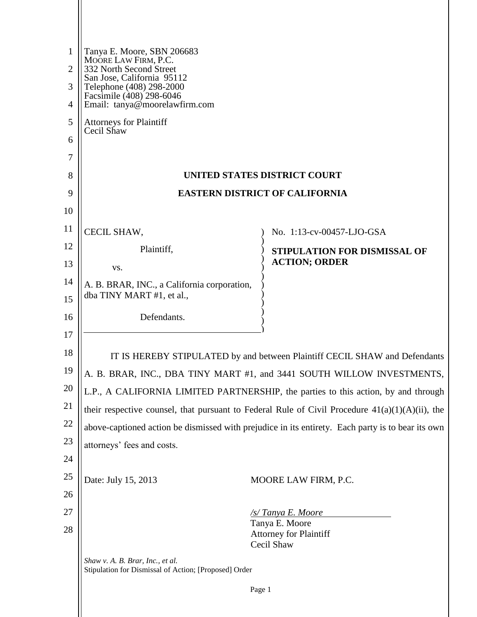| $\mathbf{1}$<br>$\overline{2}$ | Tanya E. Moore, SBN 206683<br>MOORE LAW FIRM, P.C.<br>332 North Second Street                                       |                                             |  |
|--------------------------------|---------------------------------------------------------------------------------------------------------------------|---------------------------------------------|--|
| 3<br>4                         | San Jose, California 95112<br>Telephone (408) 298-2000<br>Facsimile (408) 298-6046<br>Email: tanya@moorelawfirm.com |                                             |  |
| 5                              |                                                                                                                     |                                             |  |
| 6                              | <b>Attorneys for Plaintiff</b><br>Cecil Shaw                                                                        |                                             |  |
| 7                              |                                                                                                                     |                                             |  |
| 8                              | UNITED STATES DISTRICT COURT                                                                                        |                                             |  |
| 9                              | <b>EASTERN DISTRICT OF CALIFORNIA</b>                                                                               |                                             |  |
| 10                             |                                                                                                                     |                                             |  |
| 11                             | CECIL SHAW,                                                                                                         | No. 1:13-cv-00457-LJO-GSA                   |  |
| 12                             | Plaintiff,                                                                                                          | STIPULATION FOR DISMISSAL OF                |  |
| 13                             | VS.                                                                                                                 | <b>ACTION; ORDER</b>                        |  |
| 14<br>15                       | A. B. BRAR, INC., a California corporation,<br>dba TINY MART #1, et al.,                                            |                                             |  |
| 16                             | Defendants.                                                                                                         |                                             |  |
| 17                             |                                                                                                                     |                                             |  |
| 18                             | IT IS HEREBY STIPULATED by and between Plaintiff CECIL SHAW and Defendants                                          |                                             |  |
| 19                             | A. B. BRAR, INC., DBA TINY MART #1, and 3441 SOUTH WILLOW INVESTMENTS,                                              |                                             |  |
| 20                             | L.P., A CALIFORNIA LIMITED PARTNERSHIP, the parties to this action, by and through                                  |                                             |  |
| 21                             | their respective counsel, that pursuant to Federal Rule of Civil Procedure $41(a)(1)(A)(ii)$ , the                  |                                             |  |
| 22                             | above-captioned action be dismissed with prejudice in its entirety. Each party is to bear its own                   |                                             |  |
| 23                             | attorneys' fees and costs.                                                                                          |                                             |  |
| 24                             |                                                                                                                     |                                             |  |
| 25                             | Date: July 15, 2013                                                                                                 | MOORE LAW FIRM, P.C.                        |  |
| 26                             |                                                                                                                     |                                             |  |
| 27                             |                                                                                                                     | /s/Tanya E. Moore<br>Tanya E. Moore         |  |
| 28                             |                                                                                                                     | <b>Attorney for Plaintiff</b><br>Cecil Shaw |  |
|                                | Shaw v. A. B. Brar, Inc., et al.<br>Stipulation for Dismissal of Action; [Proposed] Order                           |                                             |  |
|                                |                                                                                                                     | Page 1                                      |  |
|                                |                                                                                                                     |                                             |  |